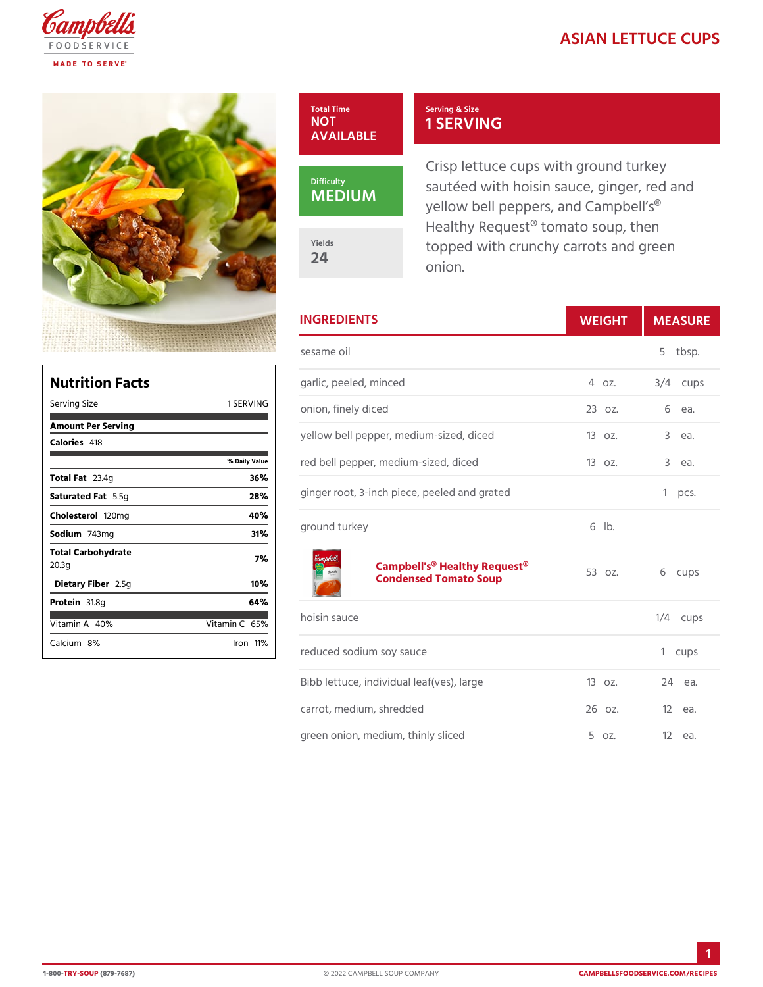## ASIAN LETTUCE



## Serving & Size 1 SERVING

Crisp lettuce cups with ground sautéed with hoisin sauce, ging yellow bell peppers, and Campb Healthy Request $@$  tomato soup, topped with crunchy carrots and onion.

| <b>INGREDIENTS</b>                                                               | WEIGH      | MEASU      |
|----------------------------------------------------------------------------------|------------|------------|
| sesame oil                                                                       |            | 5 tbsp.    |
| garlic, peeled, minced                                                           | 40Z.       | $3/4$ cups |
| ING <sub>onion,</sub> finely diced                                               | 23 oz.     | 6<br>ea.   |
| yellow bell pepper, medium-sized, didecodz.                                      |            | 3 еа.      |
| red bell pepper, medium-sized, diced3oz.<br>l u e                                |            | 3 e a.     |
| ginger root, 3-inch piece, peeled and grated 1 pcs.                              |            |            |
| ground turkey                                                                    | $6$ $ b$ . |            |
| Campbell's <sup>®</sup> Healthy Request <sup>®</sup> z.<br>Condensed Tomato Soup |            | 6 cups     |
| hoisin sauce                                                                     |            | $1/4$ cups |
| reduced sodium soy sauce                                                         |            | 1 cups     |
| Bibb lettuce, individual leaf(ves), la1r@oz.                                     |            | 24 еа.     |
| carrot, medium, shredded                                                         | 26 oz.     | 12 еа.     |
| green onion, medium, thinly sliced 5 oz.                                         |            | 12 еа.     |

| Nutrition Facts             |                 |
|-----------------------------|-----------------|
| Serving Size                | 1 SERVING       |
| Amount Per Serving          |                 |
| Calorie4s18                 |                 |
|                             | % Daily Vallue  |
| Total $F23.4g$              | 36%             |
| Saturated 5F.&fg            | 28%             |
| Choleste t 20 m g           | 40%             |
| Sodium743mg                 | 31%             |
| Total Carbohydrate<br>20.3g | 7%              |
| Dietary F21b5egr            | 10%             |
| Protei&1.8g                 | 64%             |
| Vitamin4A0%                 | Vitamin66%      |
| Calciu&n%                   | $l$ ron 11 $\%$ |